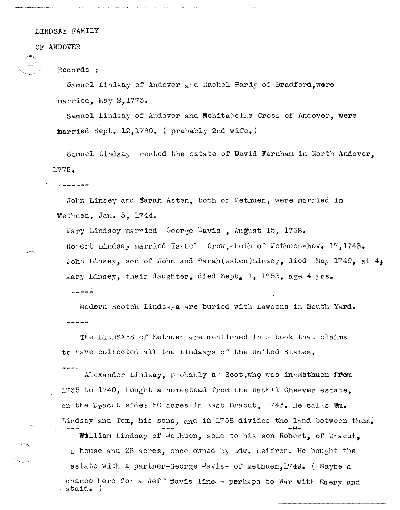LINDSAY FAMILY

## OF ANDOVER

 $\searrow$ 

Records :

**-------**

Samuel Lindsay of Andover and Rachel Hardy of Bradford, were married. May  $2.1773.$ 

Samuel Lindsay of Andover and Mehitabelle Cross of Andover, were married sept. 12,1780. ( prabably 2nd wife.)

Samuel Lindsay rented the estate of Bavid Farnham in North Andover, 1775.

John Linsey and Sarah Asten, both of Methuen, were married in Methuen, Jan.  $5, 1744.$ 

Mary Lindsey married George Davis, August 15, 1738. Robert Lindsay married Isabel Crow,-both of Methuen-Nov. 17.1743. John Linsey, son of John and  $\beta$ arah(Asten)Linsey, died May 1749, at 4; Mary Linsey, their daughter, died Sept. 1, 1753, age 4 yrs.

Modern Scotch Lindsaya are buried with Lawsons in South Yard. -----

The LINDSAYS of Methuen are mentioned in a book that claims to have collected all the Lindaays of the United states.

Alexander Lindsay, probably a Scot, who was in Methuen from 1'735 to 1740, bought a homestead from the Hath'l Cheever estate, on the D<sub>r</sub>acut side: 50 acres in East Dracut, 1743. He calls Wm. Lindsay and Tom, his sons, and in 1758 divides the land between them. **-9-**

William Lindsay of Hethuen, sold to his son Robert, of Dracut, a house and 28 acres, once owned by  $\mathbb{E}$ dw. heffren. He bought the estate with a partner-George  $\mu$ avis- of Methuen,1749. ( Maybe a chance here for a Jeff Bavis line - perhaps to War with Emery and staid. )